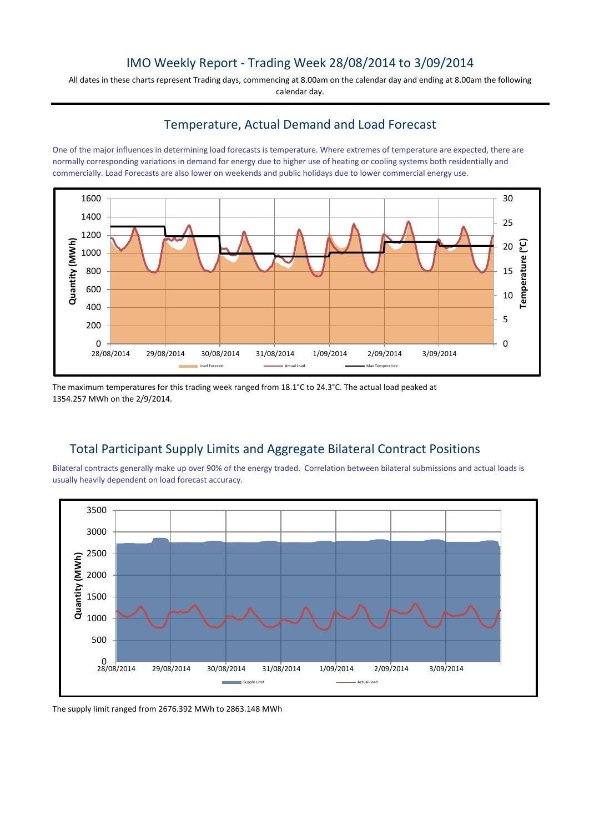## IMO Weekly Report - Trading Week 28/08/2014 to 3/09/2014

All dates in these charts represent Trading days, commencing at 8.00am on the calendar day and ending at 8.00am the following calendar day.

## Temperature, Actual Demand and Load Forecast

One of the major influences in determining load forecasts is temperature. Where extremes of temperature are expected, there are normally corresponding variations in demand for energy due to higher use of heating or cooling systems both residentially and commercially. Load Forecasts are also lower on weekends and public holidays due to lower commercial energy use.



The maximum temperatures for this trading week ranged from 18.1°C to 24.3°C. The actual load peaked at 1354.257 MWh on the 2/9/2014.

# Total Participant Supply Limits and Aggregate Bilateral Contract Positions

Bilateral contracts generally make up over 90% of the energy traded. Correlation between bilateral submissions and actual loads is usually heavily dependent on load forecast accuracy.



The supply limit ranged from 2676.392 MWh to 2863.148 MWh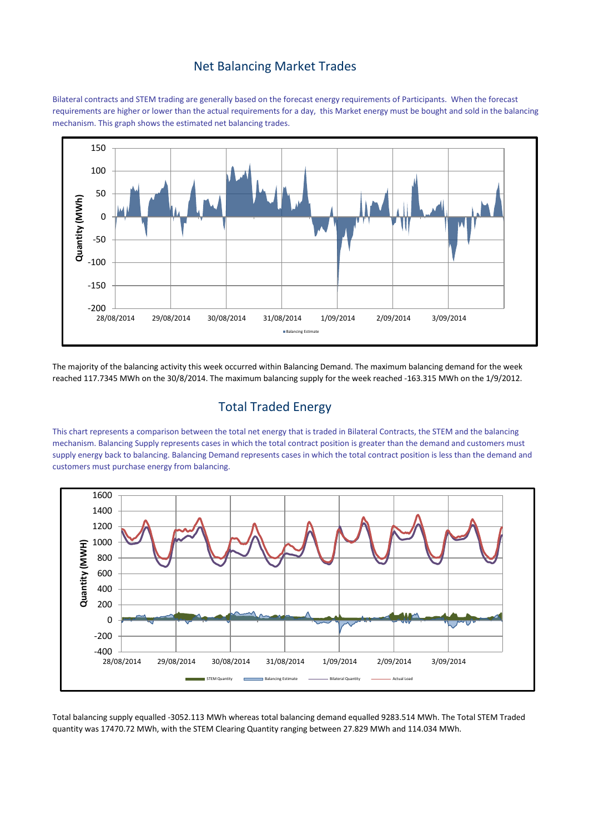#### Net Balancing Market Trades

Bilateral contracts and STEM trading are generally based on the forecast energy requirements of Participants. When the forecast requirements are higher or lower than the actual requirements for a day, this Market energy must be bought and sold in the balancing mechanism. This graph shows the estimated net balancing trades.



The majority of the balancing activity this week occurred within Balancing Demand. The maximum balancing demand for the week reached 117.7345 MWh on the 30/8/2014. The maximum balancing supply for the week reached -163.315 MWh on the 1/9/2012.

# Total Traded Energy

This chart represents a comparison between the total net energy that is traded in Bilateral Contracts, the STEM and the balancing mechanism. Balancing Supply represents cases in which the total contract position is greater than the demand and customers must supply energy back to balancing. Balancing Demand represents cases in which the total contract position is less than the demand and customers must purchase energy from balancing.



Total balancing supply equalled -3052.113 MWh whereas total balancing demand equalled 9283.514 MWh. The Total STEM Traded quantity was 17470.72 MWh, with the STEM Clearing Quantity ranging between 27.829 MWh and 114.034 MWh.